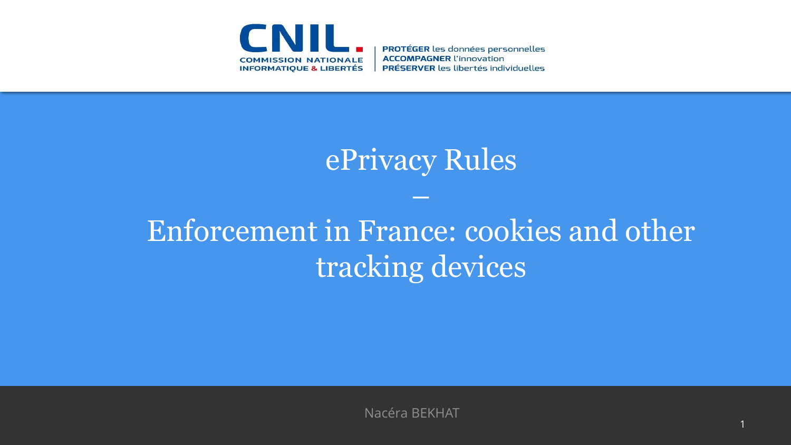

**PROTÉGER** les données personnelles **ACCOMPAGNER l'innovation PRÉSERVER** les libertés individuelles

### ePrivacy Rules

–

# Enforcement in France: cookies and other tracking devices

Nacéra BEKHAT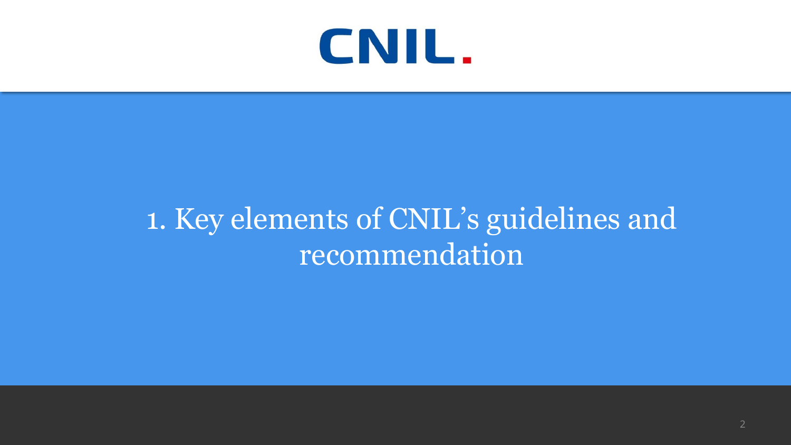

## 1. Key elements of CNIL's guidelines and recommendation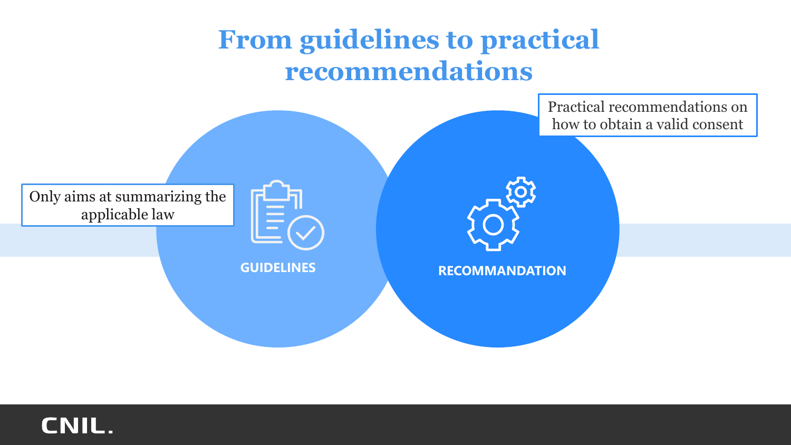#### **From guidelines to practical recommendations**



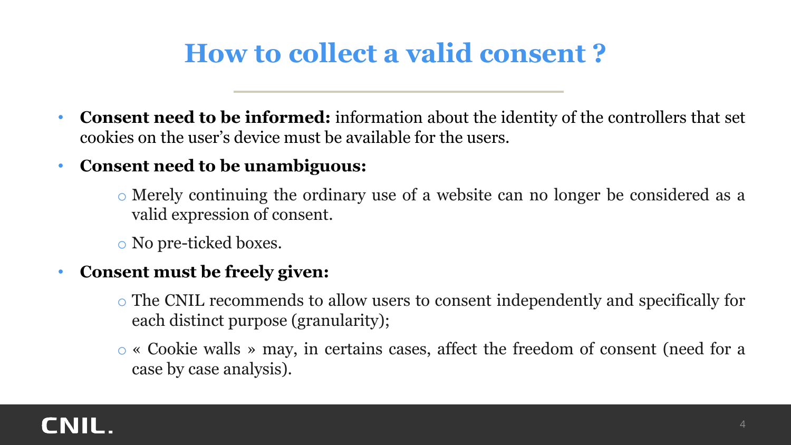#### **How to collect a valid consent ?**

- **Consent need to be informed:** information about the identity of the controllers that set cookies on the user's device must be available for the users.
- **Consent need to be unambiguous:**

o Merely continuing the ordinary use of a website can no longer be considered as a valid expression of consent.

o No pre-ticked boxes.

#### • **Consent must be freely given:**

- o The CNIL recommends to allow users to consent independently and specifically for each distinct purpose (granularity);
- o « Cookie walls » may, in certains cases, affect the freedom of consent (need for a case by case analysis).

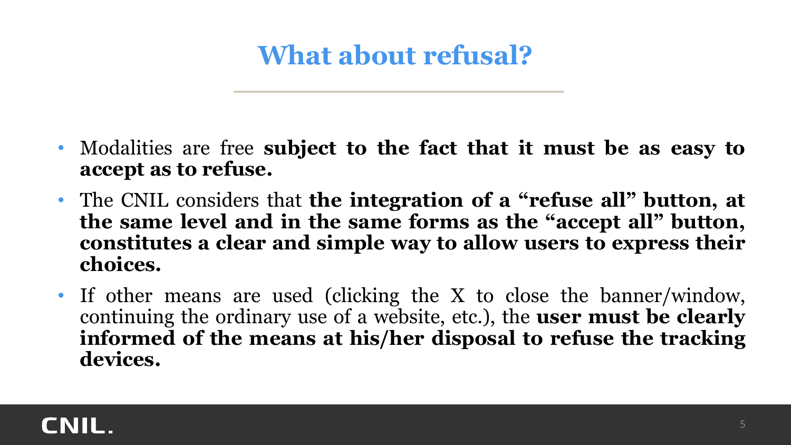### **What about refusal?**

- Modalities are free **subject to the fact that it must be as easy to accept as to refuse.**
- The CNIL considers that **the integration of a "refuse all" button, at the same level and in the same forms as the "accept all" button, constitutes a clear and simple way to allow users to express their choices.**
- If other means are used (clicking the X to close the banner/window, continuing the ordinary use of a website, etc.), the **user must be clearly informed of the means at his/her disposal to refuse the tracking devices.**

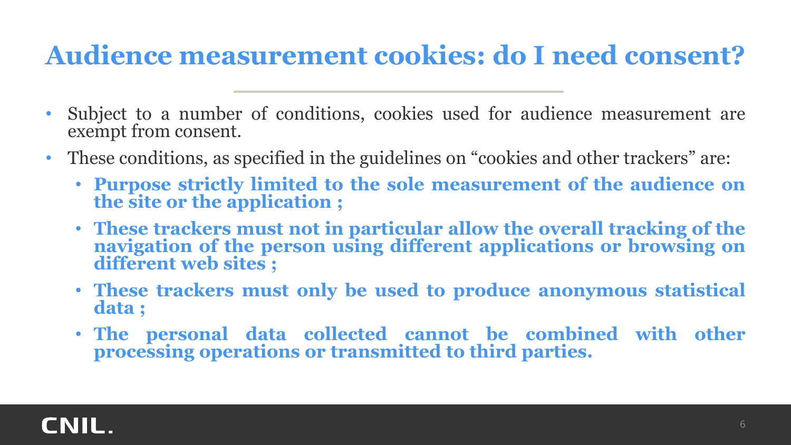#### **Audience measurement cookies: do I need consent?**

- Subject to a number of conditions, cookies used for audience measurement are exempt from consent.
- These conditions, as specified in the guidelines on "cookies and other trackers" are:
	- **Purpose strictly limited to the sole measurement of the audience on the site or the application ;**
	- **These trackers must not in particular allow the overall tracking of the navigation of the person using different applications or browsing on different web sites ;**
	- **These trackers must only be used to produce anonymous statistical data ;**
	- **The personal data collected cannot be combined with other processing operations or transmitted to third parties.**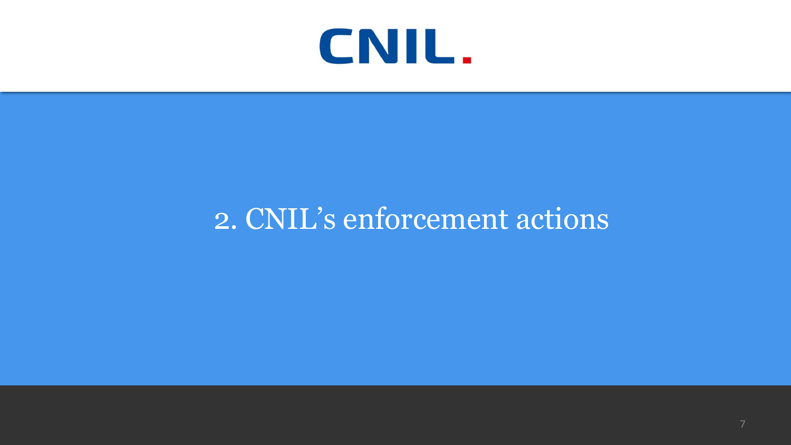

# 2. CNIL's enforcement actions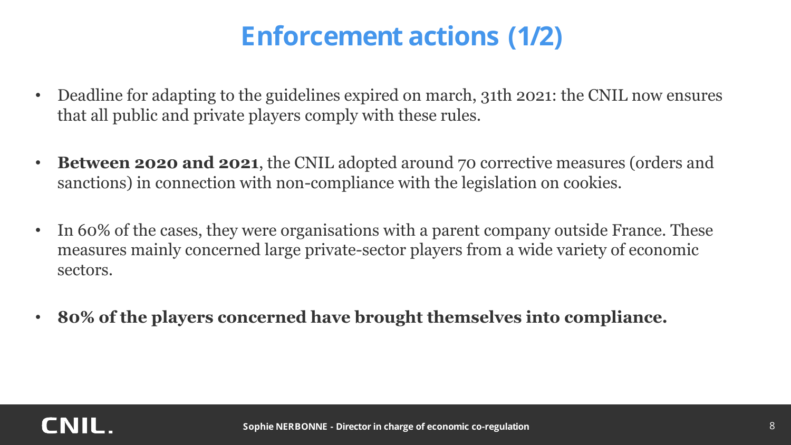### **Enforcement actions (1/2)**

- Deadline for adapting to the guidelines expired on march, 31th 2021: the CNIL now ensures that all public and private players comply with these rules.
- **Between 2020 and 2021**, the CNIL adopted around 70 corrective measures (orders and sanctions) in connection with non-compliance with the legislation on cookies.
- In 60% of the cases, they were organisations with a parent company outside France. These measures mainly concerned large private-sector players from a wide variety of economic sectors.
- **80% of the players concerned have brought themselves into compliance.**